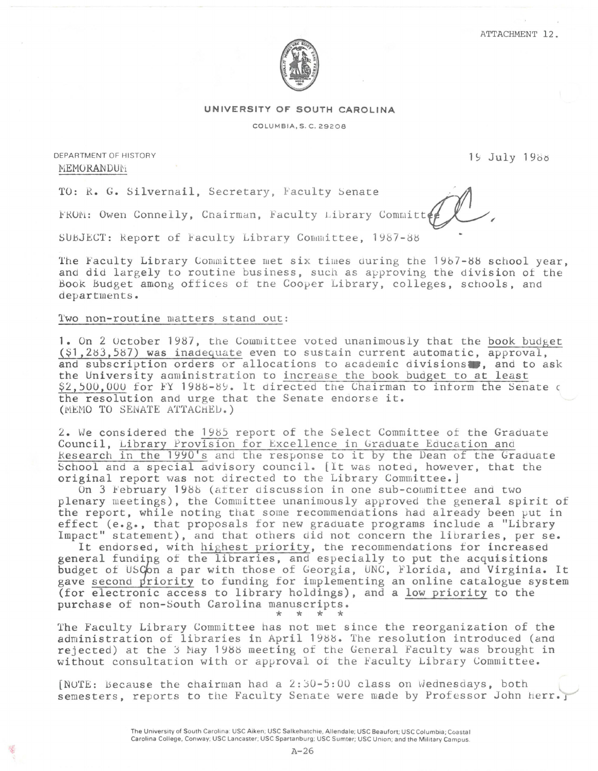

## **UNIVERSITY OF SOUTH CAROLINA**

COLUMBIA, S. C. 29208

DEPARTMENT OF HISTORY EPARTMENT OF HISTORY<br>MEMORANDUM

MEMORANDUM<br>TO: R. G. Silvernail, Secretary, Faculty Senate

FROM: Owen Connelly, Chairman, Faculty Library Committe

SUBJECT: Report of Faculty Library Committee, 1987-88

The Faculty Library Committee met six times during the 1987-88 school year, and did largely to routine business, such as approving the division of the Book budget among offices of tne Cooper Library, colleges, schools, and departments.

# Two non-routine matters stand out:

1. On 2 Uctober 1987, the Committee voted unanimously that the book budget (\$1 ,283,587) was inadequate even to sustain current automatic, approval, and subscription orders or allocations to academic divisions. and to ask the University administration to increase the book budget to at least \$2,500,000 for FY 1988-89. It directed the Chairman to inform the Senate c the resolution and urge that the Senate endorse it. (MEMO TO SENATE ATTACHED.)

2. We considered the 198j report of the Select Committee of the Graduate Council, Library Provision for Excellence in Graduate Education and Research in the 1990's and the response to it by the Dean of the Graduate School and a special advisory council. (It was noted, however, that the original report was not directed to the Library Committee.]

On 3 February 198b (after discussion in one sub-committee and two plenary meetings), the Committee unanimously approved the general spirit of the report, while noting that some recommendations had already been put in effect (e.g., that proposals for new graduate programs include a "Library Impact" statement), and that others did not concern the libraries, per se.

It endorsed, with highest priority, the recommendations for increased general funding of the libraries, and especially to put the acquisitions budget of USCon a par with those of Georgia, UNC, Florida, and Virginia. It gave second priority to funding for implementing an online catalogue system (for electronic access to library holdings), and a low priority to the purchase of non-South Carolina manuscripts. \* \* \* \*

The Faculty Library Committee has not met since the reorganization of the administration of libraries in April 1988. The resolution introduced (and rejected) at the 3 May 1988 meeting of the General Faculty was brought in without consultation with or approval *ot* the Faculty Library Committee.

 $[NOTE: Because the chairman had a 2:30-5:00 class on Wednesdays, both$ semesters, reports to the Faculty Senate were made by Professor John Herr.

> The University of South Carolina: USC Aiken; USC Salkehatchie, Allendale; USC Beaufort; USC Columbia; Coastal Carolina College. Conway; USC Lancaster; USC Spartanburg; USC Sumter; USC Union; and the Military Campus.